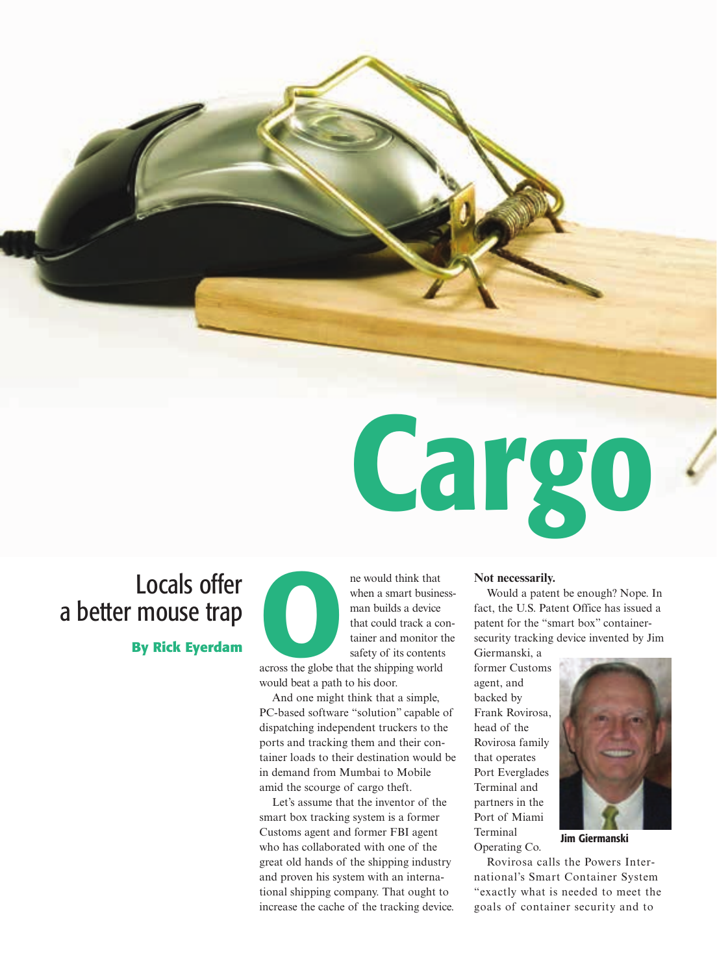# Locals offer a better mouse trap

**By Rick Eyerdam**

**EXECUTE 12**<br> **across the globe that the shipping world**<br> **across the globe that the shipping world**<br> **across the globe that the shipping world**<br> **across the globe that the shipping world** 

*when a smart businessman builds a device that could track a container and monitor the safety of its contents*

*would beat a path to his door.*

*And one might think that a simple, PC-based software "solution" capable of dispatching independent truckers to the ports and tracking them and their container loads to their destination would be in demand from Mumbai to Mobile amid the scourge of cargo theft.*

*Let's assume that the inventor of the smart box tracking system is a former Customs agent and former FBI agent who has collaborated with one of the great old hands of the shipping industry and proven his system with an international shipping company. That ought to increase the cache of the tracking device.*

### *Not necessarily.*

Cargo

*Would a patent be enough? Nope. In fact, the U.S. Patent Office has issued a patent for the "smart box" containersecurity tracking device invented by Jim*

*Giermanski, a former Customs agent, and backed by Frank Rovirosa, head of the Rovirosa family that operates Port Everglades Terminal and partners in the Port of Miami Terminal Operating Co.*

*Rovirosa calls the Powers Inter-*

*national's Smart Container System "exactly what is needed to meet the goals of container security and to*



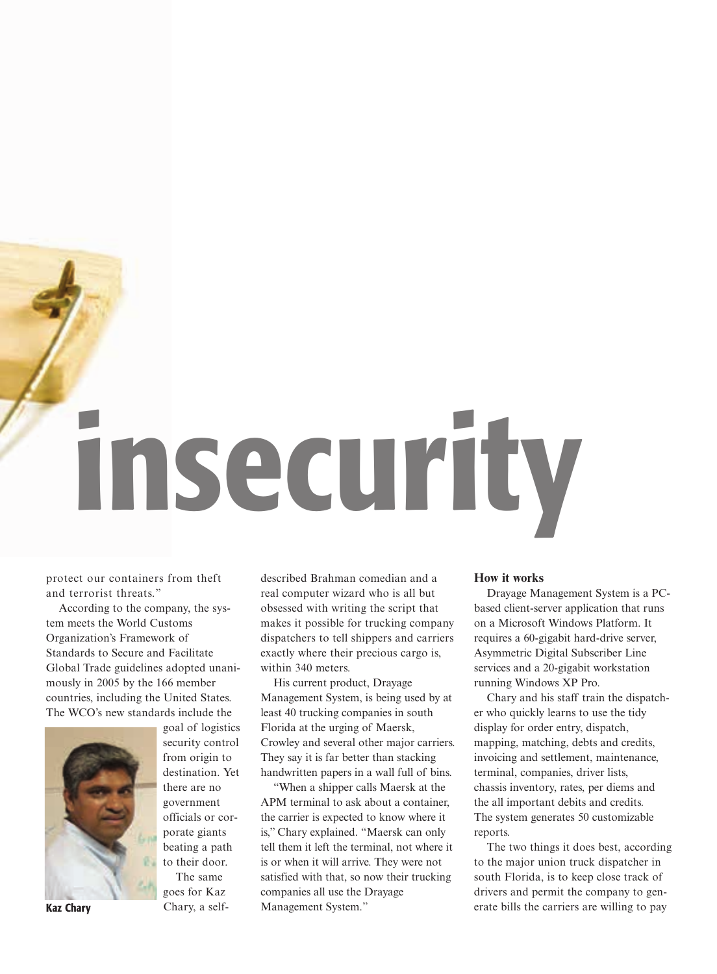insecurity

*protect our containers from theft and terrorist threats."*

*According to the company, the system meets the World Customs Organization's Framework of Standards to Secure and Facilitate Global Trade guidelines adopted unanimously in 2005 by the 166 member countries, including the United States. The WCO's new standards include the*



*goal of logistics security control from origin to destination. Yet there are no government officials or corporate giants beating a path to their door. The same*

*goes for Kaz Chary, a self-* *described Brahman comedian and a real computer wizard who is all but obsessed with writing the script that makes it possible for trucking company dispatchers to tell shippers and carriers exactly where their precious cargo is, within 340 meters.*

*His current product, Drayage Management System, is being used by at least 40 trucking companies in south Florida at the urging of Maersk, Crowley and several other major carriers. They say it is far better than stacking handwritten papers in a wall full of bins.*

*"When a shipper calls Maersk at the APM terminal to ask about a container, the carrier is expected to know where it is," Chary explained. "Maersk can only tell them it left the terminal, not where it is or when it will arrive. They were not satisfied with that, so now their trucking companies all use the Drayage* Kaz Chary *Management System."*

### *How it works*

*Drayage Management System is a PCbased client-server application that runs on a Microsoft Windows Platform. It requires a 60-gigabit hard-drive server, Asymmetric Digital Subscriber Line services and a 20-gigabit workstation running Windows XP Pro.*

*Chary and his staff train the dispatcher who quickly learns to use the tidy display for order entry, dispatch, mapping, matching, debts and credits, invoicing and settlement, maintenance, terminal, companies, driver lists, chassis inventory, rates, per diems and the all important debits and credits. The system generates 50 customizable reports.*

*The two things it does best, according to the major union truck dispatcher in south Florida, is to keep close track of drivers and permit the company to generate bills the carriers are willing to pay*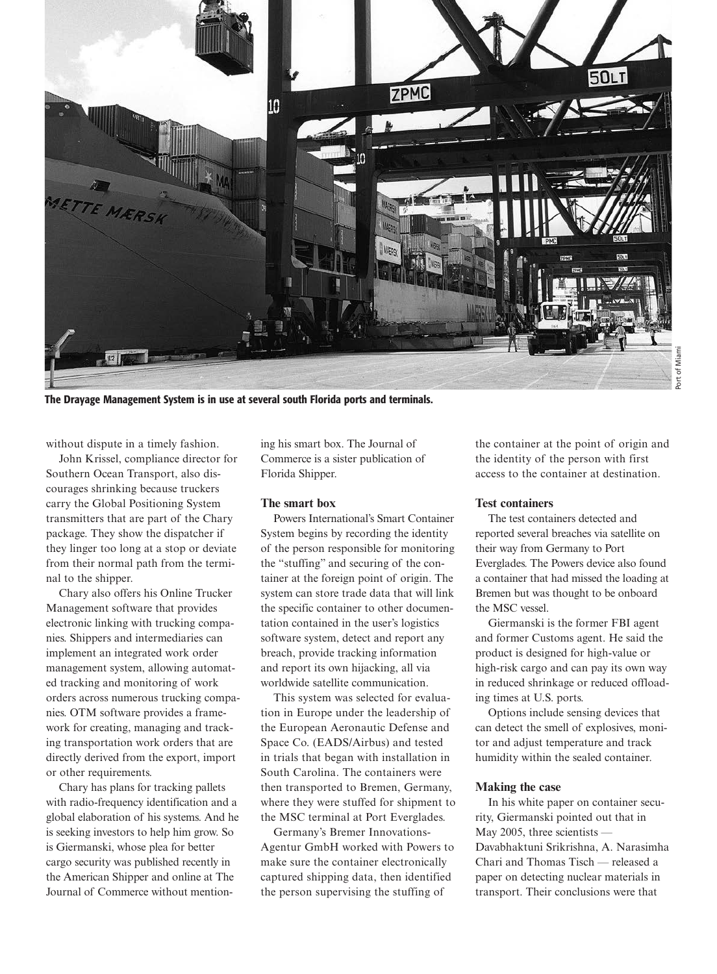

The Drayage Management System is in use at several south Florida ports and terminals.

*without dispute in a timely fashion.* 

*John Krissel, compliance director for Southern Ocean Transport, also discourages shrinking because truckers carry the Global Positioning System transmitters that are part of the Chary package. They show the dispatcher if they linger too long at a stop or deviate from their normal path from the terminal to the shipper.*

*Chary also offers his Online Trucker Management software that provides electronic linking with trucking companies. Shippers and intermediaries can implement an integrated work order management system, allowing automated tracking and monitoring of work orders across numerous trucking companies. OTM software provides a framework for creating, managing and tracking transportation work orders that are directly derived from the export, import or other requirements.*

*Chary has plans for tracking pallets with radio-frequency identification and a global elaboration of his systems. And he is seeking investors to help him grow. So is Giermanski, whose plea for better cargo security was published recently in the American Shipper and online at The Journal of Commerce without mention-* *ing his smart box. The Journal of Commerce is a sister publication of Florida Shipper.*

### *The smart box*

*Powers International's Smart Container System begins by recording the identity of the person responsible for monitoring the "stuffing" and securing of the container at the foreign point of origin. The system can store trade data that will link the specific container to other documentation contained in the user's logistics software system, detect and report any breach, provide tracking information and report its own hijacking, all via worldwide satellite communication.*

*This system was selected for evaluation in Europe under the leadership of the European Aeronautic Defense and Space Co. (EADS/Airbus) and tested in trials that began with installation in South Carolina. The containers were then transported to Bremen, Germany, where they were stuffed for shipment to the MSC terminal at Port Everglades.* 

*Germany's Bremer Innovations-Agentur GmbH worked with Powers to make sure the container electronically captured shipping data, then identified the person supervising the stuffing of*

*the container at the point of origin and the identity of the person with first access to the container at destination.* 

### *Test containers*

*The test containers detected and reported several breaches via satellite on their way from Germany to Port Everglades. The Powers device also found a container that had missed the loading at Bremen but was thought to be onboard the MSC vessel.*

*Giermanski is the former FBI agent and former Customs agent. He said the product is designed for high-value or high-risk cargo and can pay its own way in reduced shrinkage or reduced offloading times at U.S. ports.*

*Options include sensing devices that can detect the smell of explosives, monitor and adjust temperature and track humidity within the sealed container.*

## *Making the case*

*In his white paper on container security, Giermanski pointed out that in May 2005, three scientists — Davabhaktuni Srikrishna, A. Narasimha Chari and Thomas Tisch — released a paper on detecting nuclear materials in transport. Their conclusions were that*